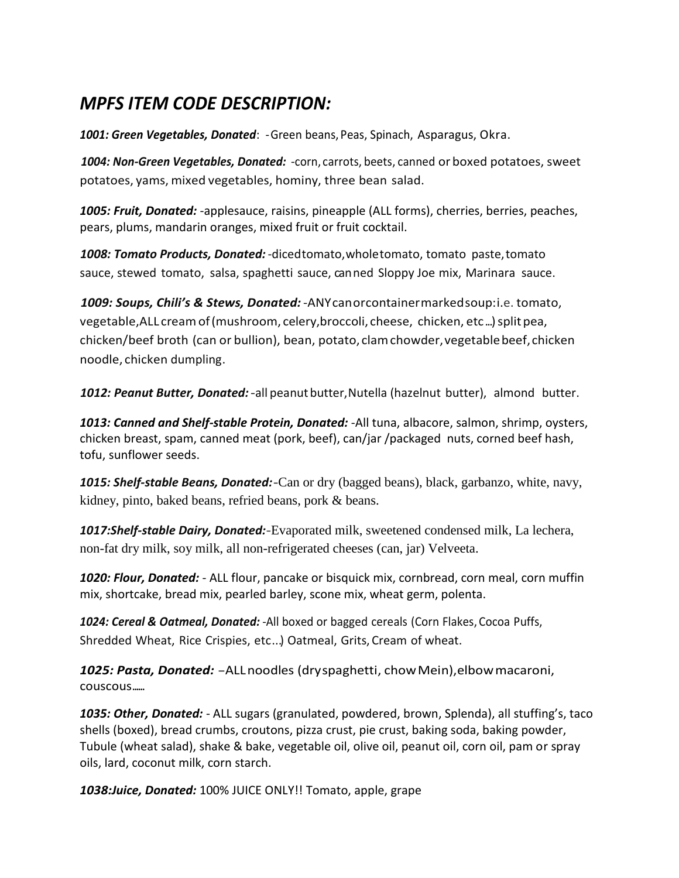## *MPFS ITEM CODE DESCRIPTION:*

*1001: Green Vegetables, Donated*: -Green beans, Peas, Spinach, Asparagus, Okra.

*1004: Non-Green Vegetables, Donated:* -corn, carrots, beets, canned or boxed potatoes, sweet potatoes, yams, mixed vegetables, hominy, three bean salad.

*1005: Fruit, Donated:* -applesauce, raisins, pineapple (ALL forms), cherries, berries, peaches, pears, plums, mandarin oranges, mixed fruit or fruit cocktail.

*1008: Tomato Products, Donated:* -dicedtomato,wholetomato, tomato paste,tomato sauce, stewed tomato, salsa, spaghetti sauce, canned Sloppy Joe mix, Marinara sauce.

*1009: Soups, Chili's & Stews, Donated:* -ANYcanorcontainermarkedsoup:i.e. tomato, vegetable,ALL creamof(mushroom, celery,broccoli, cheese, chicken, etc...)splitpea, chicken/beef broth (can or bullion), bean, potato, clamchowder,vegetablebeef,chicken noodle, chicken dumpling.

*1012: Peanut Butter, Donated:*-all peanutbutter,Nutella (hazelnut butter), almond butter.

*1013: Canned and Shelf-stable Protein, Donated:* -All tuna, albacore, salmon, shrimp, oysters, chicken breast, spam, canned meat (pork, beef), can/jar /packaged nuts, corned beef hash, tofu, sunflower seeds.

*1015: Shelf-stable Beans, Donated:*-Can or dry (bagged beans), black, garbanzo, white, navy, kidney, pinto, baked beans, refried beans, pork & beans.

*1017:Shelf-stable Dairy, Donated:*-Evaporated milk, sweetened condensed milk, La lechera, non-fat dry milk, soy milk, all non-refrigerated cheeses (can, jar) Velveeta.

*1020: Flour, Donated:* - ALL flour, pancake or bisquick mix, cornbread, corn meal, corn muffin mix, shortcake, bread mix, pearled barley, scone mix, wheat germ, polenta.

1024: Cereal & Oatmeal, Donated: - All boxed or bagged cereals (Corn Flakes, Cocoa Puffs, Shredded Wheat, Rice Crispies, etc...) Oatmeal, Grits, Cream of wheat.

*1025: Pasta, Donated:* -ALLnoodles (dryspaghetti, chowMein),elbowmacaroni, couscous......

*1035: Other, Donated:* - ALL sugars (granulated, powdered, brown, Splenda), all stuffing's, taco shells (boxed), bread crumbs, croutons, pizza crust, pie crust, baking soda, baking powder, Tubule (wheat salad), shake & bake, vegetable oil, olive oil, peanut oil, corn oil, pam or spray oils, lard, coconut milk, corn starch.

*1038:Juice, Donated:* 100% JUICE ONLY!! Tomato, apple, grape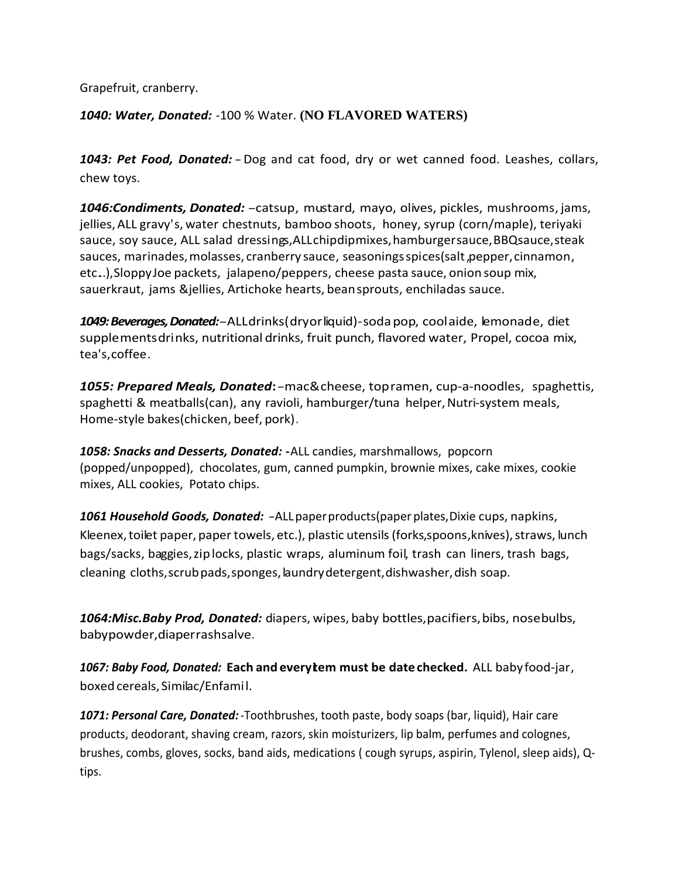Grapefruit, cranberry.

*1040: Water, Donated:* -100 % Water. **(NO FLAVORED WATERS)**

*1043: Pet Food, Donated:*-Dog and cat food, dry or wet canned food. Leashes, collars, chew toys.

*1046:Condiments, Donated:*-catsup, mustard, mayo, olives, pickles, mushrooms, jams, jellies,ALL gravy's, water chestnuts, bamboo shoots, honey, syrup (corn/maple), teriyaki sauce, soy sauce, ALL salad dressings, ALL chipdipmixes, hamburger sauce, BBQ sauce, steak sauces, marinades, molasses, cranberry sauce, seasonings spices(salt, pepper, cinnamon, etc...),SloppyJoe packets, jalapeno/peppers, cheese pasta sauce, onion soup mix, sauerkraut, jams &jellies, Artichoke hearts, beansprouts, enchiladas sauce.

*1049: Beverages, Donated:*-ALLdrinks(dryorliquid)-sodapop, coolaide, lemonade, diet supplementsdrinks, nutritional drinks, fruit punch, flavored water, Propel, cocoa mix, tea's,coffee.

*1055: Prepared Meals, Donated***:**-mac&cheese, topramen, cup-a-noodles, spaghettis, spaghetti & meatballs(can), any ravioli, hamburger/tuna helper, Nutri-system meals, Home-style bakes(chicken, beef, pork).

*1058: Snacks and Desserts, Donated:* **-**ALL candies, marshmallows, popcorn (popped/unpopped), chocolates, gum, canned pumpkin, brownie mixes, cake mixes, cookie mixes, ALL cookies, Potato chips.

*1061 Household Goods, Donated:* -ALLpaperproducts(paperplates,Dixie cups, napkins, Kleenex, toilet paper, paper towels, etc.), plastic utensils (forks, spoons, knives), straws, lunch bags/sacks, baggies,ziplocks, plastic wraps, aluminum foil, trash can liners, trash bags, cleaning cloths, scrub pads, sponges, laundry detergent, dishwasher, dish soap.

*1064:Misc.Baby Prod, Donated:* diapers, wipes, baby bottles,pacifiers,bibs, nosebulbs, babypowder,diaperrashsalve.

*1067: Baby Food, Donated:* **Each and everyitem must be date checked.** ALL babyfood-jar, boxed cereals, Similac/Enfamil.

*1071: Personal Care, Donated:*-Toothbrushes, tooth paste, body soaps (bar, liquid), Hair care products, deodorant, shaving cream, razors, skin moisturizers, lip balm, perfumes and colognes, brushes, combs, gloves, socks, band aids, medications ( cough syrups, aspirin, Tylenol, sleep aids), Qtips.